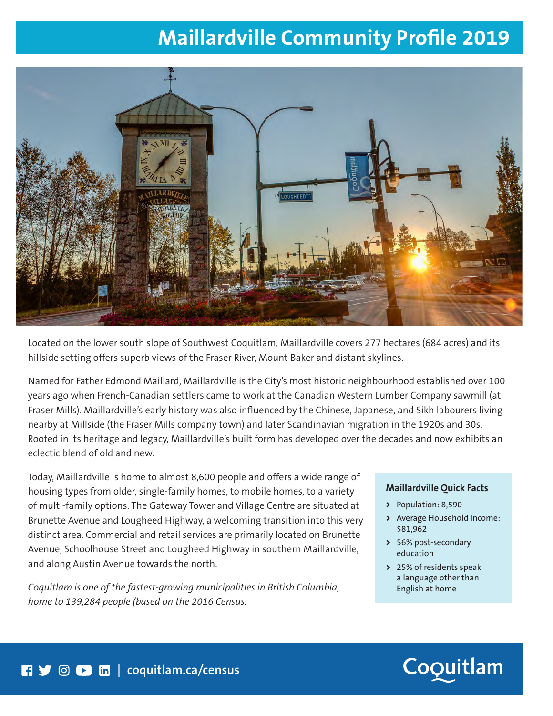## **Maillardville Community Profile 2019**



Located on the lower south slope of Southwest Coquitlam, Maillardville covers 277 hectares (684 acres) and its hillside setting offers superb views of the Fraser River, Mount Baker and distant skylines.

Named for Father Edmond Maillard, Maillardville is the City's most historic neighbourhood established over 100 years ago when French-Canadian settlers came to work at the Canadian Western Lumber Company sawmill (at Fraser Mills). Maillardville's early history was also influenced by the Chinese, Japanese, and Sikh labourers living nearby at Millside (the Fraser Mills company town) and later Scandinavian migration in the 1920s and 30s. Rooted in its heritage and legacy, Maillardville's built form has developed over the decades and now exhibits an eclectic blend of old and new.

Today, Maillardville is home to almost 8,600 people and offers a wide range of housing types from older, single-family homes, to mobile homes, to a variety of multi-family options. The Gateway Tower and Village Centre are situated at Brunette Avenue and Lougheed Highway, a welcoming transition into this very distinct area. Commercial and retail services are primarily located on Brunette Avenue, Schoolhouse Street and Lougheed Highway in southern Maillardville, and along Austin Avenue towards the north.

*Coquitlam is one of the fastest-growing municipalities in British Columbia, home to 139,284 people (based on the 2016 Census.*

### **Maillardville Quick Facts**

- **>** Population: 8,590
- **>** Average Household Income: \$81,962
- **>** 56% post-secondary education
- **>** 25% of residents speak a language other than English at home

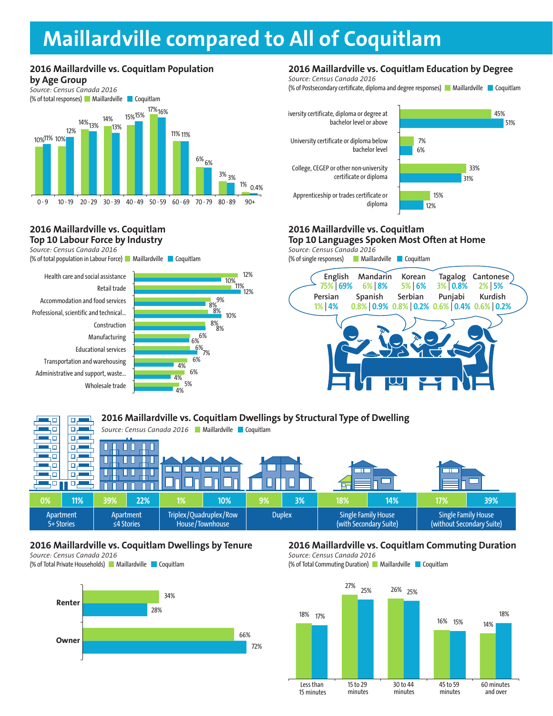### **Maillardville compared to All of Coquitlam**

### **2016 Maillardville vs. Coquitlam Population**





#### **2016 Maillardville vs. Coquitlam Top 10 Labour Force by Industry**

*Source: Census Canada 2016*

(% of total population in Labour Force) Maillardville Coquitlam





### **2016 Maillardville vs. Coquitlam Education by Degree**

*Source: Census Canada 2016* (% of Postsecondary certificate, diploma and degree responses)  $\blacksquare$  Maillardville  $\blacksquare$  Coquitlam



### **2016 Maillardville vs. Coquitlam**

**Top 10 Languages Spoken Most Often at Home BUSINESS BUSINESS**

*Source: Census Canada 2016* **BUSINESS**



#### **2016 Maillardville vs. Coquitlam Dwellings by Structural Type of Dwelling**  ųп للصير و 50  $\Box$ -1 *Source: Census Canada 2016* Maillardville Coquitlam ЧО 口店 ۰ı 40 o. П П ٦ō ᇛ П П П П कार 90.  $\Box$ **OO**  $\Box$ П П 40 **D.L** ┓ 40) 口声 П П **0% 11% 39% 22% 1% 10% 9% 3% 18% 14% 17% 39%** Apartment Apartment Triplex/Quadruplex/Row Duplex | Single Family House Single Family House (with Secondary Suite) 5+ Stories ≤4 Stories House/Townhouse (without Secondary Suite)

### **2016 Maillardville vs. Coquitlam Dwellings by Tenure**

*Source: Census Canada 2016* (% of Total Private Households) Maillardville Coquitlam



### **2016 Maillardville vs. Coquitlam Commuting Duration**

*Source: Census Canada 2016* (% of Total Commuting Duration) Maillardville Coquitlam

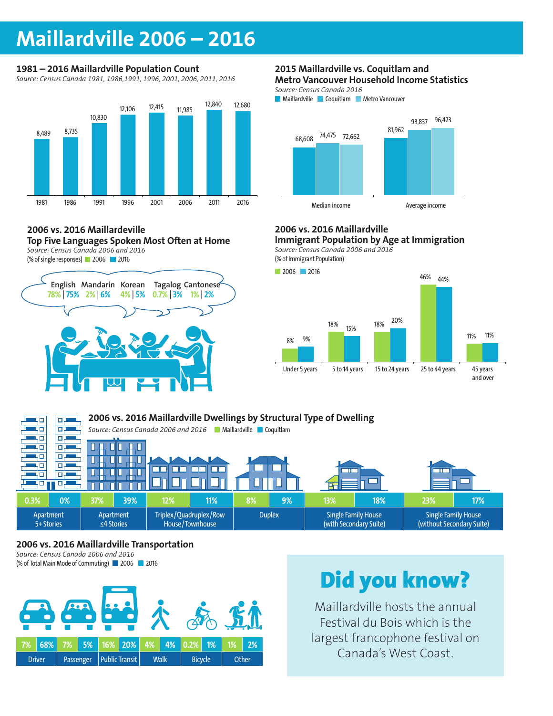### **Maillardville 2006 – 2016**

### **1981 – 2016 Maillardville Population Count**

*Source: Census Canada 1981, 1986,1991, 1996, 2001, 2006, 2011, 2016*



### **2006 vs. 2016 Maillardeville**

**Top Five Languages Spoken Most Often at Home** *Source: Census Canada 2006 and 2016*

(% of single responses) 2006 2016



#### **2015 Maillardville vs. Coquitlam and Metro Vancouver Household Income Statistics**

*Source: Census Canada 2016*

**Maillardville Coquitlam Metro Vancouver** 



### **2006 vs. 2016 Maillardville**

**Immigrant Population by Age at Immigration** *Source: Census Canada 2006 and 2016* **BUSINESS**

(% of Immigrant Population)





### **2006 vs. 2016 Maillardville Transportation**

*Source: Census Canada 2006 and 2016* (% of Total Main Mode of Commuting) 2006 2016



# Did you know?

Maillardville hosts the annual Festival du Bois which is the largest francophone festival on Canada's West Coast.